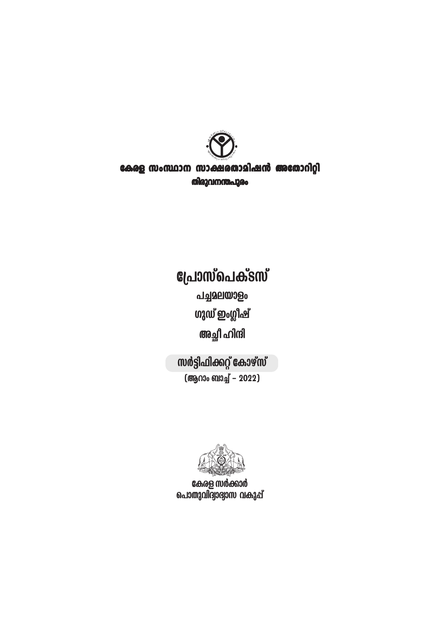

## കേരള സംസ്ഥാന സാക്ഷരതാമിഷൻ അതോറിറ്റി തിരുവനന്തപുരം

# **പ്രോസ്പെക്ടസ്**

പച്ചമലയാളം **ഗുഡ് ഇംഗ്ലീഷ്** അച്ഛീ ഹിന്ദി

സർട്ടിഫിക്കറ്റ് കോഴ്സ് (ആറാം ബാച്ച് - 2022)



കേരള സർക്കാർ പൊതുവിദ്വാഭ്വാസ വകുപ്പ്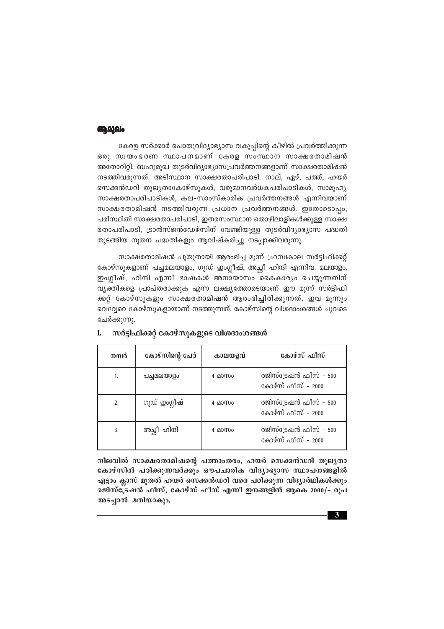#### **الملائكة:10**

കേരള സർക്കാർ പൊതുവിദ്യാഭ്യാസ വകുപ്പിന്റെ കീഴിൽ പ്രവർത്തിക്കുന്ന ഒരു സ്വയംഭരണ സ്ഥാപനമാണ് കേരള സംസ്ഥാന സാക്ഷരതാമിഷൻ അതോറിറ്റി. ബഹുമുഖ തുടർവിദ്യാഭ്യാസപ്രവർത്തനങ്ങളാണ് സാക്ഷരതാമിഷൻ നടത്തിവരുന്നത്. അടിസ്ഥാന സാക്ഷരതാപരിപാടി. നാല്, ഏഴ്, പത്ത്, ഹയർ സെക്കൻഡറി തുലൃതാകോഴ്സുകൾ, വരുമാനവർധകപരിപാടികൾ, സാമൂഹൃ സാക്ഷരതാപരിപാടികൾ, കല-സാംസ്കാരിക പ്രവർത്തനങ്ങൾ എന്നിവയാണ് സാക്ഷരതാമിഷൻ നടത്തിവരുന്ന പ്രധാന പ്രവർത്തനങ്ങൾ. ഇതോടൊപ്പം, പരിസ്ഥിതി സാക്ഷരതാപരിപാടി, ഇതരസംസ്ഥാന തൊഴിലാളികൾക്കുള്ള സാക്ഷ രതാപരിപാടി, ട്രാൻസ്ജൻഡേഴ്സിന് വേണ്ടിയുള്ള തുടർവിദ്യാഭ്യാസ പദ്ധതി തുടങ്ങിയ നൂതന പദ്ധതികളും ആവിഷ്കരിച്ചു നടപ്പാക്കിവരുന്നു.

സാക്ഷരതാമിഷൻ പുതുതായി ആരംഭിച്ച മൂന്ന് ഹ്രസ്വകാല സർട്ടിഫിക്കറ്റ് കോഴ്സുകളാണ് പച്ചമലയാളം, ഗുഡ് ഇംഗ്ലീഷ്, അച്ചീ ഹിന്ദി എന്നിവ. മലയാളം, ഇംഗ്ലീഷ്, ഹിന്ദി എന്നീ ഭാഷകൾ അനായാസം കൈകാര്യം ചെയ്യുന്നതിന് വൃക്തികളെ പ്രാപ്തരാക്കുക എന്ന ലക്ഷ്യത്തോടെയാണ് ഈ മൂന്ന് സർട്ടിഫി ക്കറ്റ് കോഴ്സൂകളും സാക്ഷരതാമിഷൻ ആരംഭിച്ചിരിക്കുന്നത്. ഇവ മുന്നും വെവ്വേറെ കോഴ്സുകളായാണ് നടത്തുന്നത്. കോഴ്സിന്റെ വിശദാംശങ്ങൾ ചുവടെ ചേർക്കുന്നു.

| നമ്പർ | കോഴ്സിന്റെ പേര് | കാലയളവ് | കോഴ്സ് ഫീസ്                                  |
|-------|-----------------|---------|----------------------------------------------|
| 1.    | പച്ചമലയാളം      | 4 മാസം  | രജിസ്ട്രേഷൻ ഫീസ് - 500<br>കോഴ്സ് ഫീസ് - 2000 |
| 2.    | ഗുഡ് ഇംഗ്ലീഷ്   | 4.0000  | രജിസ്ട്രേഷൻ ഫീസ് - 500<br>കോഴ്സ് ഫീസ് - 2000 |
| 3.    | അച്ചീ ഹിന്ദി    | 4.0000  | രജിസ്ട്രേഷൻ ഫീസ് - 500<br>കോഴ്സ് ഫീസ് - 2000 |

#### സർട്ടിഫിക്കറ്റ് കോഴ്സുകളുടെ വിശദാംശങ്ങൾ I.

നിലവിൽ സാക്ഷരതാമിഷന്റെ പത്താംതരം, ഹയർ സെക്കൻഡറി തുലൃതാ കോഴ്സിൽ പഠിക്കുന്നവർക്കും ഔപചാരിക വിദ്യാഭ്യാസ സ്ഥാപനങ്ങളിൽ എട്ടാം ക്ലാസ് മുതൽ ഹയർ സെക്കൻഡറി വരെ പഠിക്കുന്ന വിദ്യാർഥികൾക്കും രജിസ്ട്രേഷൻ ഫീസ്, കോഴ്സ് ഫീസ് എന്നീ ഇനങ്ങളിൽ ആകെ 2000/– രുപ അടച്ചാൽ മതിയാകും.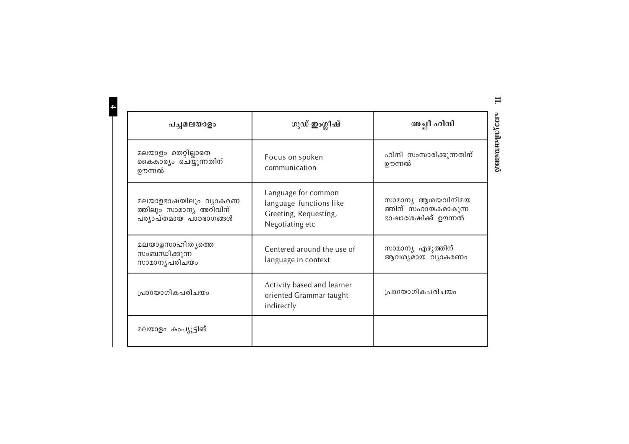| പച്ചമലയാളം                                                                 | ഗുഡ് ഇംഗ്ലീഷ്                                                                              | അച്ഛീ ഹിന്ദി                                                   |  |
|----------------------------------------------------------------------------|--------------------------------------------------------------------------------------------|----------------------------------------------------------------|--|
| മലയാളം തെറ്റില്ലാതെ<br>കൈകാര്യം ചെയ്യുന്നതിന്<br>ഊന്നൽ                     | Focus on spoken<br>communication                                                           | ഹിന്ദി സംസാരിക്കുന്നതിന്<br>ഊന്നൽ                              |  |
| മലയാളഭാഷയിലും വ്യാകരണ<br>ത്തിലും സാമാന്യ അറിവിന്<br>പര്യാപ്തമായ പാഠഭാഗങ്ങൾ | Language for common<br>language functions like<br>Greeting, Requesting,<br>Negotiating etc | സാമാന്യ ആശയവിനിമയ<br>ത്തിന് സഹായകമാകുന്ന<br>ഭാഷാശേഷിക്ക് ഊന്നൽ |  |
| മലയാളസാഹിതൃത്തെ<br>സംബന്ധിക്കുന്ന<br>സാമാനൃപരിചയം                          | Centered around the use of<br>language in context                                          | സാമാന്യ എഴുത്തിന്<br>ആവശൃമായ വ്യാകരണം                          |  |
| പ്രായോഗികപരിചയം                                                            | Activity based and learner<br>oriented Grammar taught<br>indirectly                        | പ്രായോഗികപരിചയം                                                |  |
| മലയാളം കംപ്യൂട്ടിങ്                                                        |                                                                                            |                                                                |  |

**II.**

 $\mathbf{p}_\text{2}$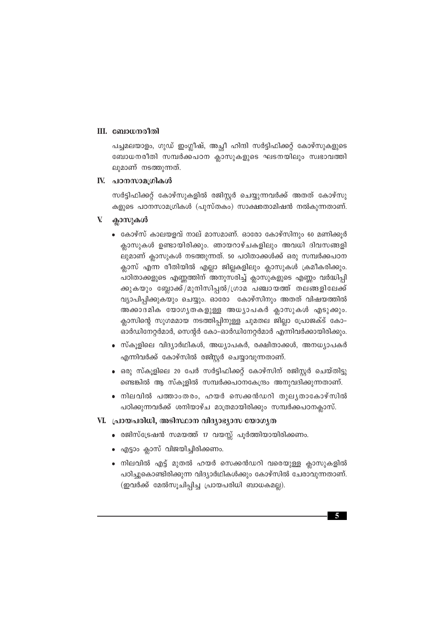#### III. ബോധനരീതി

പച്ചമലയാളം, ഗുഡ് ഇംഗ്ലീഷ്, അച്ഛീ ഹിന്ദി സർട്ടിഫിക്കറ്റ് കോഴ്സുകളുടെ ബോധനരീതി സമ്പർക്കപഠന ക്ലാസുകളുടെ ഘടനയിലും സ്വഭാവത്തി ലുമാണ് നടത്തുന്നത്.

#### IV. പഠനസാമഗ്രികൾ

സർട്ടിഫിക്കറ്റ് കോഴ്സുകളിൽ രജിസ്റ്റർ ചെയ്യുന്നവർക്ക് അതത് കോഴ്സു കളുടെ പഠനസാമഗ്രികൾ (പുസ്തകം) സാക്ഷരതാമിഷൻ നൽകുന്നതാണ്.

#### V ക്ലാസുകൾ

- കോഴ്സ് കാലയളവ് നാല് മാസമാണ്. ഓരോ കോഴ്സിനും 60 മണിക്കൂർ ക്ലാസുകൾ ഉണ്ടായിരിക്കും. ഞായറാഴ്ചകളിലും അവധി ദിവസങ്ങളി ലുമാണ് ക്ലാസുകൾ നടത്തുന്നത്. 50 പഠിതാക്കൾക്ക് ഒരു സമ്പർക്കപഠന ക്ലാസ് എന്ന രീതിയിൽ എല്ലാ ജില്ലകളിലും ക്ലാസുകൾ ക്രമീകരിക്കും. പഠിതാക്കളുടെ എണ്ണത്തിന് അനുസരിച്ച് ക്ലാസുകളുടെ എണ്ണം വർദ്ധിപ്പി ക്കുകയും ബ്ലോക്ക്/മുനിസിപ്പൽ/ഗ്രാമ പഞ്ചായത്ത് തലങ്ങളിലേക്ക് വ്യാപിപിക്കുകയും ചെയ്യും. ഓരോ കോഴ്സിനും അതത് വിഷയത്തിൽ അക്കാദമിക യോഗൃതകളുള്ള അധ്യാപകർ ക്ലാസുകൾ എടുക്കും. ക്ലാസിന്റെ സുഗമമായ നടത്തിപ്പിനുള്ള ചുമതല ജില്ലാ പ്രോജക്ട് കോ– ഓർഡിനേറ്റർമാർ, സെന്റർ കോ-ഓർഡിനേറ്റർമാർ എന്നിവർക്കായിരിക്കും.
- സ്കൂളിലെ വിദ്യാർഥികൾ, അധ്യാപകർ, രക്ഷിതാക്കൾ, അനധ്യാപകർ എന്നിവർക്ക് കോഴ്സിൽ രജിസ്റ്റർ ചെയ്യാവുന്നതാണ്.
- ഒരു സ്കൂളിലെ 20 പേർ സർട്ടിഫിക്കറ്റ് കോഴ്സിന് രജിസ്റ്റർ ചെയ്തിട്ടു ണ്ടെങ്കിൽ ആ സ്കൂളിൽ സമ്പർക്കപഠനകേന്ദ്രം അനുവദിക്കുന്നതാണ്.
- ∙ നിലവിൽ പത്താംതരം, ഹയർ സെക്കൻഡറി തുലൃതാകോഴ്സിൽ പഠിക്കുന്നവർക്ക് ശനിയാഴ്ച മാത്രമായിരിക്കും സമ്പർക്കപഠനകാസ്.

#### VI. പ്രായപരിധി, അടിസ്ഥാന വിദ്യാഭ്യാസ യോഗൃത

- രജിസ്ട്രേഷൻ സമയത്ത് 17 വയസ്സ് പൂർത്തിയായിരിക്കണം.
- എട്ടാം ക്ലാസ് വിജയിച്ചിരിക്കണം.
- നിലവിൽ എട്ട് മുതൽ ഹയർ സെക്കൻഡറി വരെയുള്ള ക്ലാസുകളിൽ പഠിച്ചുകൊണ്ടിരിക്കുന്ന വിദ്യാർഥികൾക്കും കോഴ്സിൽ ചേരാവുന്നതാണ്. (ഇവർക്ക് മേൽസൂചിപ്പിച്ച പ്രായപരിധി ബാധകമല്ല).

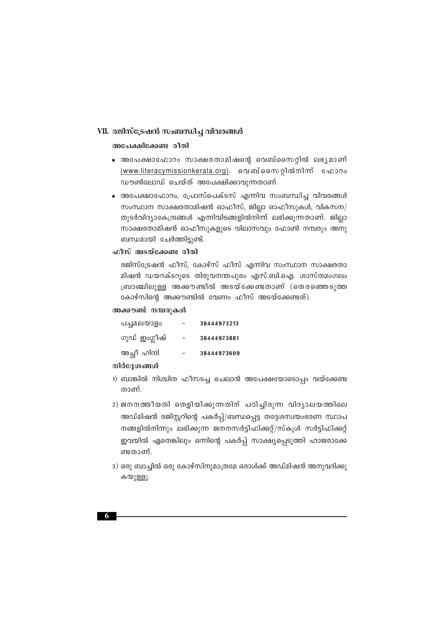#### VII. രജിസ്ട്രേഷൻ സംബന്ധിച്ച വിവരങ്ങൾ

#### അപേക്ഷിക്കേണ്ട രീതി

- ∙ അപേക്ഷാഫോറം സാക്ഷരതാമിഷന്റെ വെബ്സൈറ്റിൽ ലഭൃമാണ് (www.literacymissionkerala.org). വെബ്സൈറ്റിൽനിന് ഫോറം ഡൗൺലോഡ് ചെയ്ത് അപേക്ഷിക്കാവുന്നതാണ്.
- അപേക്ഷാഫോറം, പ്രോസ്പെക്ടസ് എന്നിവ സംബന്ധിച്ച വിവരങ്ങൾ സംസ്ഥാന സാക്ഷരതാമിഷൻ ഓഫീസ്, ജില്ലാ ഓഫീസുകൾ, വികസന/ തുടർവിദ്യാകേന്ദ്രങ്ങൾ എന്നിവിടങ്ങളിൽനിന്ന് ലഭിക്കുന്നതാണ്. ജില്ലാ സാക്ഷരതാമിഷൻ ഓഫീസുകളുടെ വിലാസവും ഫോൺ നമ്പരും അനു ബന്ധമായി ചേർത്തിട്ടുണ്ട്.

#### ഫീസ് അടയ്ക്കേണ്ട രീതി

രജിസ്ട്രേഷൻ ഫീസ്, കോഴ്സ് ഫീസ് എന്നിവ സംസ്ഥാന സാക്ഷരതാ മിഷൻ ഡയറക്ടറുടെ തിരുവനന്തപുരം എസ്.ബി.ഐ. ശാസ്തമംഗലം ബ്രാഞ്ചിലുള്ള അക്കൗണ്ടിൽ അടയ്ക്കേണ്ടതാണ് (തെരഞ്ഞെടുത്ത കോഴ്സിന്റെ അക്കൗണ്ടിൽ വേണം ഫീസ് അടയ്ക്കേണ്ടത്).

#### അക്കൗണ്ട് നമ്പരുകൾ

| പച്ചമലയാളം    | 38444973213 |
|---------------|-------------|
| ഗുഡ് ഇംഗ്ലീഷ് | 38444973881 |
| അച്ഛീ ഹിന്ദി  | 38444973609 |

#### നിർദ്ദേശങ്ങൾ

- 1) ബാങ്കിൽ നിശ്ചിത ഫീസടച്ച ചെലാൻ അപേക്ഷയോടൊപ്പം വയ്ക്കേണ്ട താണ്.
- 2) ജനനത്തീയതി തെളിയിക്കുന്നതിന് പഠിച്ചിരുന്ന വിദൃാലയത്തിലെ അഡ്മിഷൻ രജിസ്റ്ററിന്റെ പകർപ്പ്/ബന്ധപ്പെട്ട തദ്ദേശസ്വയംഭരണ സ്ഥാപ നങ്ങളിൽനിന്നും ലഭിക്കുന്ന ജനനസർട്ടിഫിക്കറ്റ്/സ്കൂൾ സർട്ടിഫിക്കറ്റ് ഇവയിൽ ഏതെങ്കിലും ഒന്നിന്റെ പകർപ്പ് സാക്ഷ്യപ്പെടുത്തി ഹാജരാക്കേ ണ്ടതാണ്.
- 3) ഒരു ബാച്ചിൽ ഒരു കോഴ്സിനുമാത്രമേ ഒരാൾക്ക് അഡ്മിഷൻ അനുവദിക്കു കയുള്ളൂ.

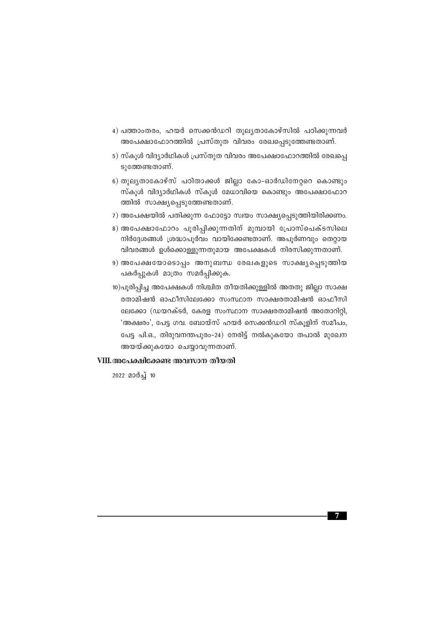- 4) പത്താംതരം, ഹയർ സെക്കൻഡറി തുലൃതാകോഴ്സിൽ പഠിക്കുന്നവർ അപേക്ഷാഫോറത്തിൽ പ്രസ്തുത വിവരം രേഖപ്പെടുത്തേണ്ടതാണ്.
- 5) സ്കൂൾ വിദ്യാർഥികൾ പ്രസ്തുത വിവരം അപേക്ഷാഫോറത്തിൽ രേഖപ്പെ ടുത്തേണ്ടതാണ്.
- 6) തുലൃതാകോഴ്സ് പഠിതാക്കൾ ജില്ലാ കോ-ഓർഡിനേറ്ററെ കൊണ്ടും സ്കൂൾ വിദ്യാർഥികൾ സ്കൂൾ മേധാവിയെ കൊണ്ടും അപേക്ഷാഫോറ ത്തിൽ സാക്ഷ്യപ്പെടുത്തേണ്ടതാണ്.
- 7) അപേക്ഷയിൽ പതിക്കുന്ന ഫോട്ടോ സ്വയം സാക്ഷ്യപ്പെടുത്തിയിരിക്കണം.
- 8) അപേക്ഷാഫോറം പൂരിപ്പിക്കുന്നതിന് മുമ്പായി പ്രോസ്പെക്ടസിലെ നിർദ്ദേശങ്ങൾ ശ്രദ്ധാപൂർവം വായിക്കേണ്ടതാണ്. അപൂർണവും തെറ്റായ  $n$ വിവരങ്ങൾ ഉൾക്കൊള്ളുന്നതുമായ അപേക്ഷകൾ നിരസിക്കുന്നതാണ്.
- 9) അപേക്ഷയോടൊപ്പം അനുബന്ധ രേഖകളുടെ സാക്ഷ്യപ്പെടുത്തിയ പകർപ്പുകൾ മാത്രം സമർപ്പിക്കുക.
- 10)പൂരിപ്പിച്ച അപേക്ഷകൾ നിശ്ചിത തീയതിക്കുള്ളിൽ അതതു ജില്ലാ സാക്ഷ @താമിഷൻ ഓഫീസിലേക്കോ സംസ്ഥാന സാക്ഷരതാമിഷൻ ഓഫീസി ലേക്കോ (ഡയറക്ടർ, കേരള സംസ്ഥാന സാക്ഷരതാമിഷൻ അതോറിറ്റി, 'അക്ഷരം', പേട്ട ഗവ. ബോയ്സ് ഹയർ സെക്കൻഡറി സ്കുളിന് സമീപം, പേട്ട പി.ഒ., തിരുവനന്തപുരം-24) നേരിട്ട് നൽകുകയോ തപാൽ മുഖേന അയയ്ക്കുകയോ ചെയ്യാവുന്നതാണ്.

#### VIII.അപേക്ഷിക്കേണ്ട അവസാന തീയതി

2022 മാർച്ച് 10

**7**